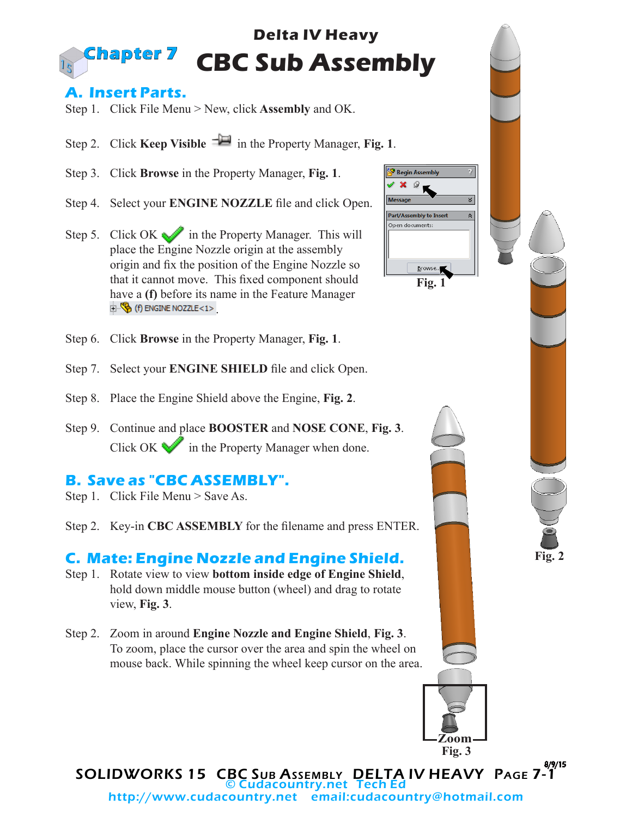#### **Delta IV Heavy CBC Sub Assembly Chapter 7**

### **A. Insert Parts.**

Step 1. Click File Menu > New, click **Assembly** and OK.

- Step 2. Click **Keep Visible**  $\exists \blacksquare$  in the Property Manager, **Fig. 1**.
- Step 3. Click **Browse** in the Property Manager, **Fig. 1**.
- Step 4. Select your **ENGINE NOZZLE** file and click Open.
- Step 5. Click OK in the Property Manager. This will place the Engine Nozzle origin at the assembly origin and fix the position of the Engine Nozzle so that it cannot move. This fixed component should have a **(f)** before its name in the Feature Manager  $\mathbb{E} \mathbb{E}$  (f) ENGINE NOZZLE<1>
- Step 6. Click **Browse** in the Property Manager, **Fig. 1**.
- Step 7. Select your **ENGINE SHIELD** file and click Open.
- Step 8. Place the Engine Shield above the Engine, **Fig. 2**.
- Step 9. Continue and place **BOOSTER** and **NOSE CONE**, **Fig. 3**. Click OK  $\blacktriangleright$  in the Property Manager when done.

# **B. Save as "CBC ASSEMBLY".**

- Step 1. Click File Menu > Save As.
- Step 2. Key-in **CBC ASSEMBLY** for the filename and press ENTER.

## **C. Mate: Engine Nozzle and Engine Shield.**

- Step 1. Rotate view to view **bottom inside edge of Engine Shield**, hold down middle mouse button (wheel) and drag to rotate view, **Fig. 3**.
- Step 2. Zoom in around **Engine Nozzle and Engine Shield**, **Fig. 3**. To zoom, place the cursor over the area and spin the wheel on mouse back. While spinning the wheel keep cursor on the area.



**Fig. 3**

SOLIDWORKS 15 CBC SUB ASSEMBLY DELTA IV HEAVY PAGE 7-1 8/9/15 udacountry.net Tech Ed http://www.cudacountry.net email:cudacountry@hotmail.com